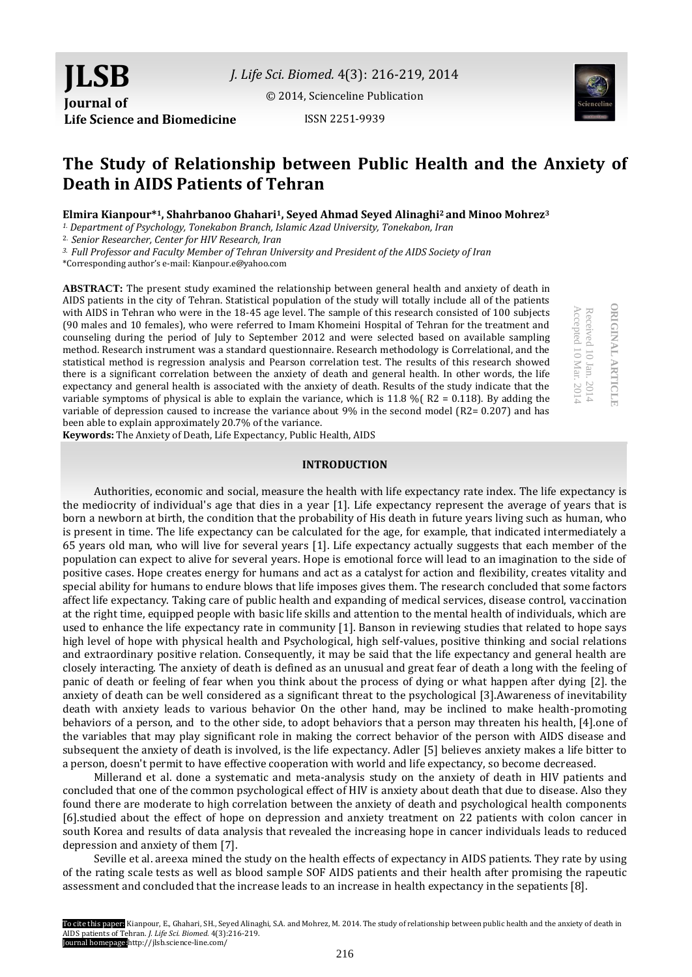**JLSB Journal of Life Science and Biomedicine**

*J. Life Sci. Biomed.* 4(3): 216-219, 2014

[© 2014, Scienceline Publication](http://www.science-line.com/index/)

ISSN 2251-9939



# **The Study of Relationship between Public Health and the Anxiety of Death in AIDS Patients of Tehran**

**Elmira Kianpour\* <sup>1</sup>, Shahrbanoo Ghahari1, Seyed Ahmad Seyed Alinaghi2 and Minoo Mohrez<sup>3</sup>**

*1. Department of Psychology, Tonekabon Branch, Islamic Azad University, Tonekabon, Iran*

2. *Senior Researcher, Center for HIV Research, Iran*

*3. Full Professor and Faculty Member of Tehran University and President of the AIDS Society of Iran*

\*Corresponding author's e-mail: Kianpour.e@yahoo.com

**ABSTRACT:** The present study examined the relationship between general health and anxiety of death in AIDS patients in the city of Tehran. Statistical population of the study will totally include all of the patients with AIDS in Tehran who were in the 18-45 age level. The sample of this research consisted of 100 subjects (90 males and 10 females), who were referred to Imam Khomeini Hospital of Tehran for the treatment and counseling during the period of July to September 2012 and were selected based on available sampling method. Research instrument was a standard questionnaire. Research methodology is Correlational, and the statistical method is regression analysis and Pearson correlation test. The results of this research showed there is a significant correlation between the anxiety of death and general health. In other words, the life expectancy and general health is associated with the anxiety of death. Results of the study indicate that the variable symptoms of physical is able to explain the variance, which is  $11.8\%$  (R2 = 0.118). By adding the variable of depression caused to increase the variance about 9% in the second model (R2= 0.207) and has been able to explain approximately 20.7% of the variance.

**ORIGINAL ARTICLE** Accepted 10 Mar. 2014 **DRIGINAL ARTICI** Received 10 Jan. Received 10 Jan. 2014  $.2014$ 

Accepted 10

Mar. 2014

**Keywords:** The Anxiety of Death, Life Expectancy, Public Health, AIDS

## **INTRODUCTION**

Authorities, economic and social, measure the health with life expectancy rate index. The life expectancy is the mediocrity of individual's age that dies in a year [1]. Life expectancy represent the average of years that is born a newborn at birth, the condition that the probability of His death in future years living such as human, who is present in time. The life expectancy can be calculated for the age, for example, that indicated intermediately a 65 years old man, who will live for several years [1]. Life expectancy actually suggests that each member of the population can expect to alive for several years. Hope is emotional force will lead to an imagination to the side of positive cases. Hope creates energy for humans and act as a catalyst for action and flexibility, creates vitality and special ability for humans to endure blows that life imposes gives them. The research concluded that some factors affect life expectancy. Taking care of public health and expanding of medical services, disease control, vaccination at the right time, equipped people with basic life skills and attention to the mental health of individuals, which are used to enhance the life expectancy rate in community [1]. Banson in reviewing studies that related to hope says high level of hope with physical health and Psychological, high self-values, positive thinking and social relations and extraordinary positive relation. Consequently, it may be said that the life expectancy and general health are closely interacting. The anxiety of death is defined as an unusual and great fear of death a long with the feeling of panic of death or feeling of fear when you think about the process of dying or what happen after dying [2]. the anxiety of death can be well considered as a significant threat to the psychological [3].Awareness of inevitability death with anxiety leads to various behavior On the other hand, may be inclined to make health-promoting behaviors of a person, and to the other side, to adopt behaviors that a person may threaten his health, [4].one of the variables that may play significant role in making the correct behavior of the person with AIDS disease and subsequent the anxiety of death is involved, is the life expectancy. Adler [5] believes anxiety makes a life bitter to a person, doesn't permit to have effective cooperation with world and life expectancy, so become decreased.

Millerand et al. done a systematic and meta-analysis study on the anxiety of death in HIV patients and concluded that one of the common psychological effect of HIV is anxiety about death that due to disease. Also they found there are moderate to high correlation between the anxiety of death and psychological health components [6].studied about the effect of hope on depression and anxiety treatment on 22 patients with colon cancer in south Korea and results of data analysis that revealed the increasing hope in cancer individuals leads to reduced depression and anxiety of them [7].

Seville et al. areexa mined the study on the health effects of expectancy in AIDS patients. They rate by using of the rating scale tests as well as blood sample SOF AIDS patients and their health after promising the rapeutic assessment and concluded that the increase leads to an increase in health expectancy in the sepatients [8].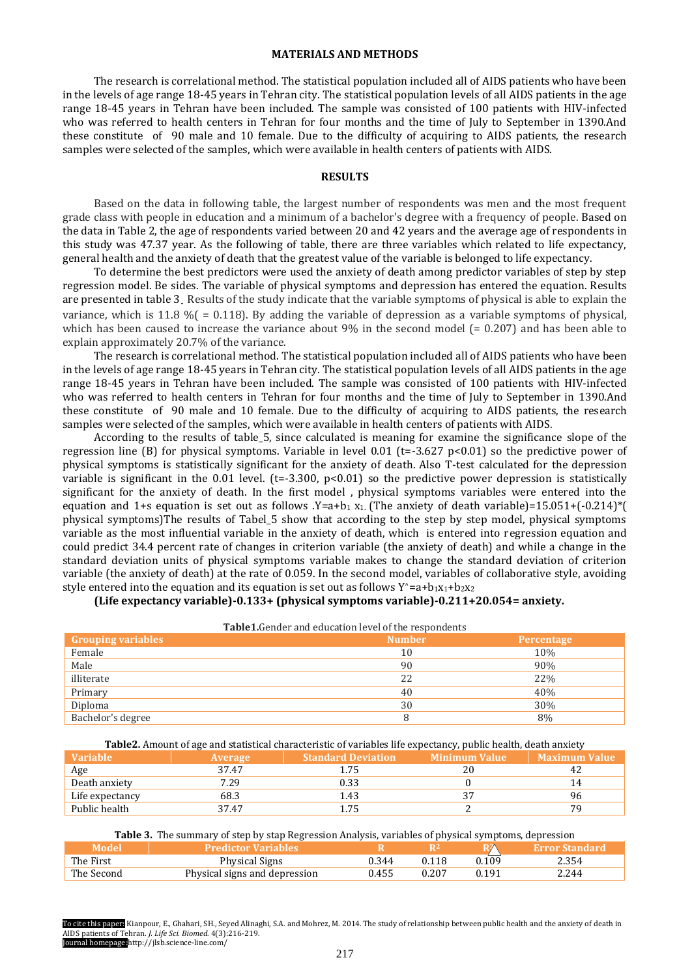#### **MATERIALS AND METHODS**

The research is correlational method. The statistical population included all of AIDS patients who have been in the levels of age range 18-45 years in Tehran city. The statistical population levels of all AIDS patients in the age range 18-45 years in Tehran have been included. The sample was consisted of 100 patients with HIV-infected who was referred to health centers in Tehran for four months and the time of July to September in 1390.And these constitute of 90 male and 10 female. Due to the difficulty of acquiring to AIDS patients, the research samples were selected of the samples, which were available in health centers of patients with AIDS.

#### **RESULTS**

Based on the data in following table, the largest number of respondents was men and the most frequent grade class with people in education and a minimum of a bachelor's degree with a frequency of people. Based on the data in Table 2, the age of respondents varied between 20 and 42 years and the average age of respondents in this study was 47.37 year. As the following of table, there are three variables which related to life expectancy, general health and the anxiety of death that the greatest value of the variable is belonged to life expectancy.

To determine the best predictors were used the anxiety of death among predictor variables of step by step regression model. Be sides. The variable of physical symptoms and depression has entered the equation. Results are presented in table 3. Results of the study indicate that the variable symptoms of physical is able to explain the variance, which is 11.8 %  $( = 0.118)$ . By adding the variable of depression as a variable symptoms of physical, which has been caused to increase the variance about 9% in the second model (= 0.207) and has been able to explain approximately 20.7% of the variance.

The research is correlational method. The statistical population included all of AIDS patients who have been in the levels of age range 18-45 years in Tehran city. The statistical population levels of all AIDS patients in the age range 18-45 years in Tehran have been included. The sample was consisted of 100 patients with HIV-infected who was referred to health centers in Tehran for four months and the time of July to September in 1390.And these constitute of 90 male and 10 female. Due to the difficulty of acquiring to AIDS patients, the research samples were selected of the samples, which were available in health centers of patients with AIDS.

According to the results of table\_5, since calculated is meaning for examine the significance slope of the regression line (B) for physical symptoms. Variable in level 0.01 (t=-3.627 p<0.01) so the predictive power of physical symptoms is statistically significant for the anxiety of death. Also T-test calculated for the depression variable is significant in the 0.01 level. (t=-3.300,  $p<0.01$ ) so the predictive power depression is statistically significant for the anxiety of death. In the first model , physical symptoms variables were entered into the equation and 1+s equation is set out as follows  $Y=a+b_1 x_1$ . (The anxiety of death variable)=15.051+(-0.214)\*( physical symptoms)The results of Tabel\_5 show that according to the step by step model, physical symptoms variable as the most influential variable in the anxiety of death, which is entered into regression equation and could predict 34.4 percent rate of changes in criterion variable (the anxiety of death) and while a change in the standard deviation units of physical symptoms variable makes to change the standard deviation of criterion variable (the anxiety of death) at the rate of 0.059. In the second model, variables of collaborative style, avoiding style entered into the equation and its equation is set out as follows  $Y^2=a+b_1x_1+b_2x_2$ 

### **(Life expectancy variable)-0.133+ (physical symptoms variable)-0.211+20.054= anxiety.**

| <b>Grouping variables</b> | <b>Number</b> | Percentage |
|---------------------------|---------------|------------|
| Female                    | 10            | 10%        |
| Male                      | 90            | 90%        |
| illiterate                | 22            | 22%        |
| Primary                   | 40            | 40%        |
| Diploma                   | 30            | 30%        |
| Bachelor's degree         | 8             | 8%         |

#### **Table2.** Amount of age and statistical characteristic of variables life expectancy, public health, death anxiety

| <b>Variable</b> | Average | <b>Standard Deviation</b> | <b>Minimum Value</b> | <b>Maximum Value</b> |
|-----------------|---------|---------------------------|----------------------|----------------------|
| Age             | 37.47   |                           |                      | 42                   |
| Death anxiety   | 7.29    | 0.33                      |                      | 14                   |
| Life expectancy | 68.3    | l.43                      |                      | 96                   |
| Public health   | 37.47   | -75                       |                      | 70                   |

#### **Table 3.** The summary of step by stap Regression Analysis, variables of physical symptoms, depression

| Model      | <b>Predictor Variables</b>    |       |       |       | Error Standard |
|------------|-------------------------------|-------|-------|-------|----------------|
| The First  | <b>Physical Signs</b>         | J.344 | 0.118 | 0.109 | 2.354          |
| The Second | Physical signs and depression | 0.455 | 0.207 |       | 2.244          |

To cite this paper: Kianpour, E., Ghahari, SH., Seyed Alinaghi, S.A. and Mohrez, M. 2014. The study of relationship between public health and the anxiety of death in AIDS patients of Tehran. *J. Life Sci. Biomed.* 4(3):216-219. Journal homepage:http://jlsb.science-line.com/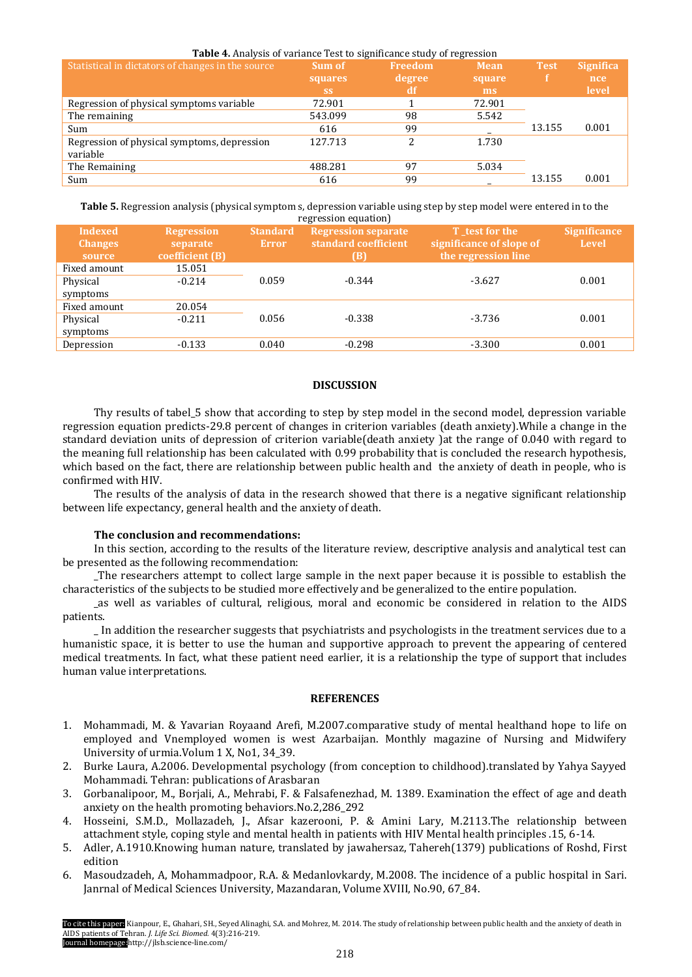| Table 4. Analysis of variance Test to significance study of regression |                   |                   |                       |             |                                    |
|------------------------------------------------------------------------|-------------------|-------------------|-----------------------|-------------|------------------------------------|
| Statistical in dictators of changes in the source                      | Sum of<br>squares | Freedom<br>degree | <b>Mean</b><br>square | <b>Test</b> | <b>Significa</b><br><sub>nce</sub> |
|                                                                        | <b>SS</b>         | df                | ms                    |             | level                              |
| Regression of physical symptoms variable                               | 72.901            |                   | 72.901                |             |                                    |
| The remaining                                                          | 543.099           | 98                | 5.542                 |             |                                    |
| Sum                                                                    | 616               | 99                | -                     | 13.155      | 0.001                              |
| Regression of physical symptoms, depression                            | 127.713           | 2                 | 1.730                 |             |                                    |
| variable                                                               |                   |                   |                       |             |                                    |
| The Remaining                                                          | 488.281           | 97                | 5.034                 |             |                                    |
| Sum                                                                    | 616               | 99                |                       | 13.155      | 0.001                              |

**Table 5.** Regression analysis (physical symptom s, depression variable using step by step model were entered in to the

| Indexed<br><b>Changes</b><br>source | <b>Regression</b><br>separate<br>coefficient (B) | <b>Standard</b><br><b>Error</b> | <b>Regression separate</b><br>standard coefficient<br>(B) | T test for the<br>significance of slope of<br>the regression line | <b>Significance</b><br>Level |
|-------------------------------------|--------------------------------------------------|---------------------------------|-----------------------------------------------------------|-------------------------------------------------------------------|------------------------------|
| Fixed amount                        | 15.051                                           |                                 |                                                           |                                                                   |                              |
| Physical                            | $-0.214$                                         | 0.059                           | $-0.344$                                                  | $-3.627$                                                          | 0.001                        |
| symptoms                            |                                                  |                                 |                                                           |                                                                   |                              |
| Fixed amount                        | 20.054                                           |                                 |                                                           |                                                                   |                              |
| Physical                            | $-0.211$                                         | 0.056                           | $-0.338$                                                  | $-3.736$                                                          | 0.001                        |
| symptoms                            |                                                  |                                 |                                                           |                                                                   |                              |
| Depression                          | $-0.133$                                         | 0.040                           | $-0.298$                                                  | $-3.300$                                                          | 0.001                        |

## **DISCUSSION**

Thy results of tabel\_5 show that according to step by step model in the second model, depression variable regression equation predicts-29.8 percent of changes in criterion variables (death anxiety).While a change in the standard deviation units of depression of criterion variable(death anxiety )at the range of 0.040 with regard to the meaning full relationship has been calculated with 0.99 probability that is concluded the research hypothesis, which based on the fact, there are relationship between public health and the anxiety of death in people, who is confirmed with HIV.

The results of the analysis of data in the research showed that there is a negative significant relationship between life expectancy, general health and the anxiety of death.

## **The conclusion and recommendations:**

In this section, according to the results of the literature review, descriptive analysis and analytical test can be presented as the following recommendation:

\_The researchers attempt to collect large sample in the next paper because it is possible to establish the characteristics of the subjects to be studied more effectively and be generalized to the entire population.

\_as well as variables of cultural, religious, moral and economic be considered in relation to the AIDS patients.

\_ In addition the researcher suggests that psychiatrists and psychologists in the treatment services due to a humanistic space, it is better to use the human and supportive approach to prevent the appearing of centered medical treatments. In fact, what these patient need earlier, it is a relationship the type of support that includes human value interpretations.

## **REFERENCES**

- 1. Mohammadi, M. & Yavarian Royaand Arefi, M.2007.comparative study of mental healthand hope to life on employed and Vnemployed women is west Azarbaijan. Monthly magazine of Nursing and Midwifery University of urmia.Volum 1 X, No1, 34\_39.
- 2. Burke Laura, A.2006. Developmental psychology (from conception to childhood).translated by Yahya Sayyed Mohammadi. Tehran: publications of Arasbaran
- 3. Gorbanalipoor, M., Borjali, A., Mehrabi, F. & Falsafenezhad, M. 1389. Examination the effect of age and death anxiety on the health promoting behaviors.No.2,286\_292
- 4. Hosseini, S.M.D., Mollazadeh, J., Afsar kazerooni, P. & Amini Lary, M.2113.The relationship between attachment style, coping style and mental health in patients with HIV Mental health principles .15, 6-14.
- 5. Adler, A.1910.Knowing human nature, translated by jawahersaz, Tahereh(1379) publications of Roshd, First edition
- 6. Masoudzadeh, A, Mohammadpoor, R.A. & Medanlovkardy, M.2008. The incidence of a public hospital in Sari. Janrnal of Medical Sciences University, Mazandaran, Volume XVIII, No.90, 67\_84.